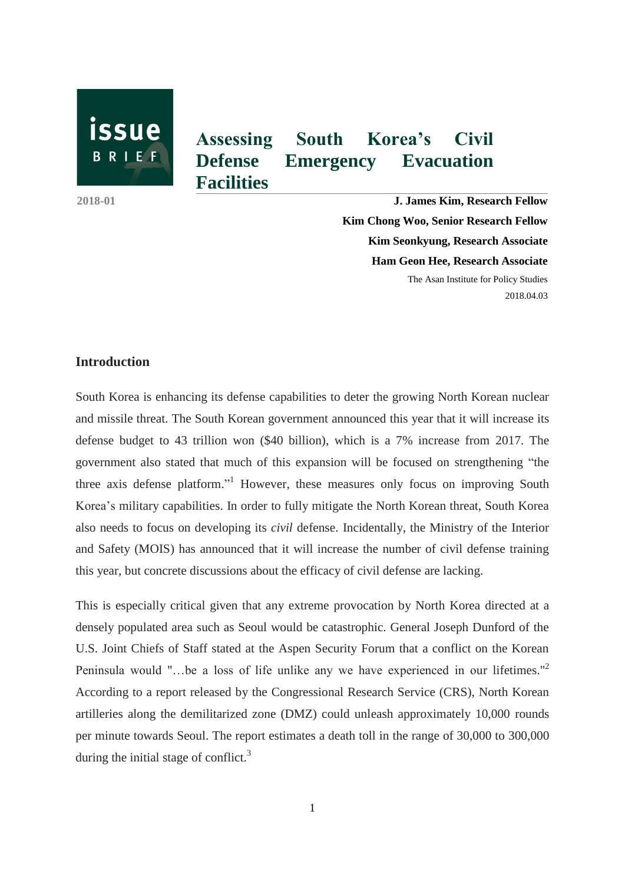

**Facilities** 

**Assessing South Korea's Civil Defense Emergency Evacuation** 

**2018-01 J. James Kim, Research Fellow Kim Chong Woo, Senior Research Fellow Kim Seonkyung, Research Associate Ham Geon Hee, Research Associate** The Asan Institute for Policy Studies

2018.04.03

## **Introduction**

South Korea is enhancing its defense capabilities to deter the growing North Korean nuclear and missile threat. The South Korean government announced this year that it will increase its defense budget to 43 trillion won (\$40 billion), which is a 7% increase from 2017. The government also stated that much of this expansion will be focused on strengthening "the three axis defense platform." <sup>1</sup> However, these measures only focus on improving South Korea's military capabilities. In order to fully mitigate the North Korean threat, South Korea also needs to focus on developing its *civil* defense. Incidentally, the Ministry of the Interior and Safety (MOIS) has announced that it will increase the number of civil defense training this year, but concrete discussions about the efficacy of civil defense are lacking.

This is especially critical given that any extreme provocation by North Korea directed at a densely populated area such as Seoul would be catastrophic. General Joseph Dunford of the U.S. Joint Chiefs of Staff stated at the Aspen Security Forum that a conflict on the Korean Peninsula would "...be a loss of life unlike any we have experienced in our lifetimes."<sup>2</sup> According to a report released by the Congressional Research Service (CRS), North Korean artilleries along the demilitarized zone (DMZ) could unleash approximately 10,000 rounds per minute towards Seoul. The report estimates a death toll in the range of 30,000 to 300,000 during the initial stage of conflict. $3$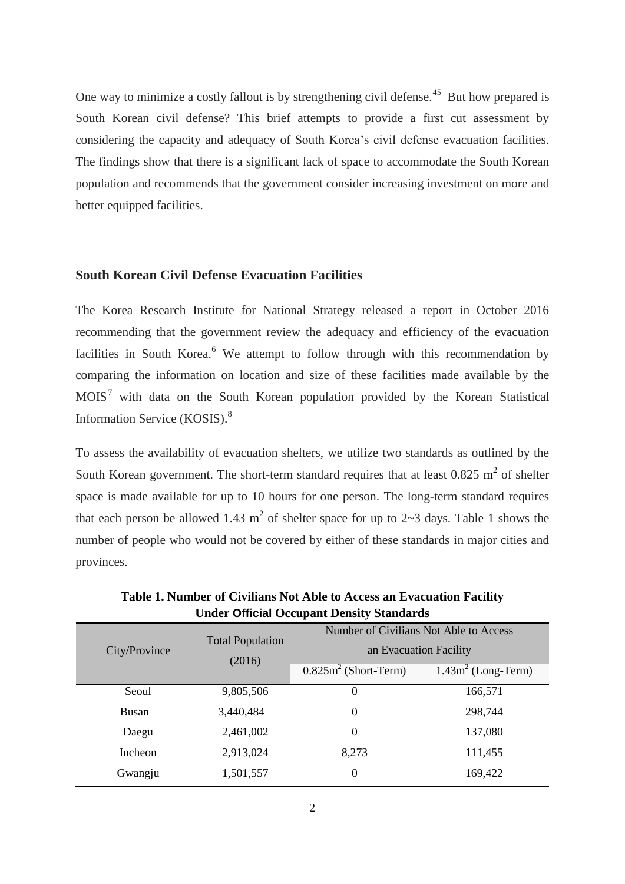One way to minimize a costly fallout is by strengthening civil defense.<sup>45</sup> But how prepared is South Korean civil defense? This brief attempts to provide a first cut assessment by considering the capacity and adequacy of South Korea's civil defense evacuation facilities. The findings show that there is a significant lack of space to accommodate the South Korean population and recommends that the government consider increasing investment on more and better equipped facilities.

## **South Korean Civil Defense Evacuation Facilities**

The Korea Research Institute for National Strategy released a report in October 2016 recommending that the government review the adequacy and efficiency of the evacuation facilities in South Korea.<sup>6</sup> We attempt to follow through with this recommendation by comparing the information on location and size of these facilities made available by the MOIS<sup>7</sup> with data on the South Korean population provided by the Korean Statistical Information Service (KOSIS). 8

To assess the availability of evacuation shelters, we utilize two standards as outlined by the South Korean government. The short-term standard requires that at least  $0.825 \text{ m}^2$  of shelter space is made available for up to 10 hours for one person. The long-term standard requires that each person be allowed 1.43  $m^2$  of shelter space for up to 2~3 days. Table 1 shows the number of people who would not be covered by either of these standards in major cities and provinces.

| City/Province | <b>Total Population</b><br>(2016) | Number of Civilians Not Able to Access<br>an Evacuation Facility |                      |  |
|---------------|-----------------------------------|------------------------------------------------------------------|----------------------|--|
|               |                                   | $0.825m2$ (Short-Term)                                           | $1.43m2$ (Long-Term) |  |
| Seoul         | 9,805,506                         | O                                                                | 166,571              |  |
| Busan         | 3,440,484                         | $\theta$                                                         | 298,744              |  |
| Daegu         | 2,461,002                         | $\theta$                                                         | 137,080              |  |
| Incheon       | 2,913,024                         | 8,273                                                            | 111,455              |  |
| Gwangju       | 1,501,557                         | 0                                                                | 169,422              |  |

**Table 1. Number of Civilians Not Able to Access an Evacuation Facility Under Official Occupant Density Standards**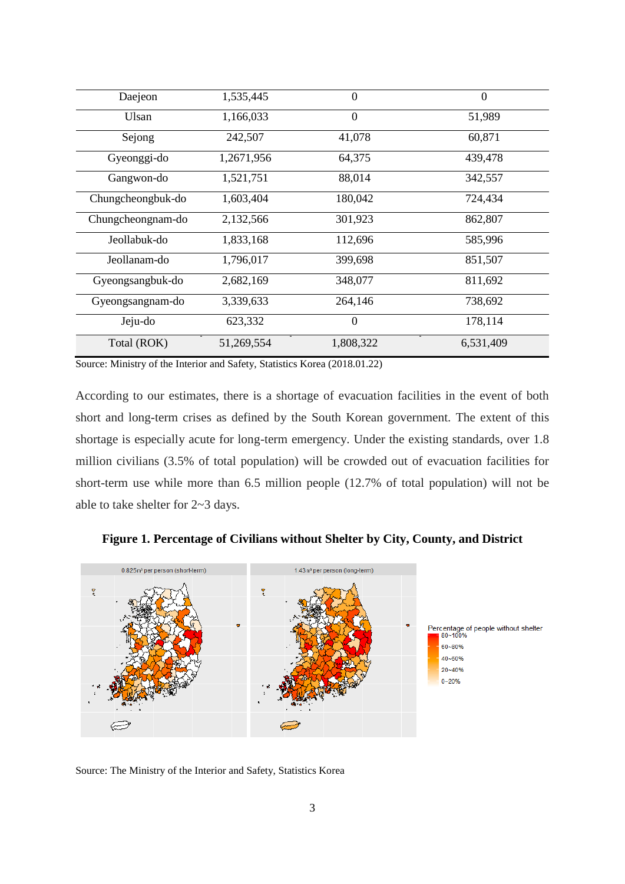| Daejeon           | 1,535,445  | 0                 | $\theta$  |
|-------------------|------------|-------------------|-----------|
| Ulsan             | 1,166,033  | $\overline{0}$    | 51,989    |
| Sejong            | 242,507    | 41,078<br>60,871  |           |
| Gyeonggi-do       | 1,2671,956 | 64,375<br>439,478 |           |
| Gangwon-do        | 1,521,751  | 88,014            | 342,557   |
| Chungcheongbuk-do | 1,603,404  | 180,042           | 724,434   |
| Chungcheongnam-do | 2,132,566  | 301,923           | 862,807   |
| Jeollabuk-do      | 1,833,168  | 112,696           | 585,996   |
| Jeollanam-do      | 1,796,017  | 399,698           | 851,507   |
| Gyeongsangbuk-do  | 2,682,169  | 348,077           | 811,692   |
| Gyeongsangnam-do  | 3,339,633  | 264,146           | 738,692   |
| Jeju-do           | 623,332    | $\theta$          | 178,114   |
| Total (ROK)       | 51,269,554 | 1,808,322         | 6,531,409 |

Source: Ministry of the Interior and Safety, Statistics Korea (2018.01.22)

According to our estimates, there is a shortage of evacuation facilities in the event of both short and long-term crises as defined by the South Korean government. The extent of this shortage is especially acute for long-term emergency. Under the existing standards, over 1.8 million civilians (3.5% of total population) will be crowded out of evacuation facilities for short-term use while more than 6.5 million people (12.7% of total population) will not be able to take shelter for 2~3 days.





Source: The Ministry of the Interior and Safety, Statistics Korea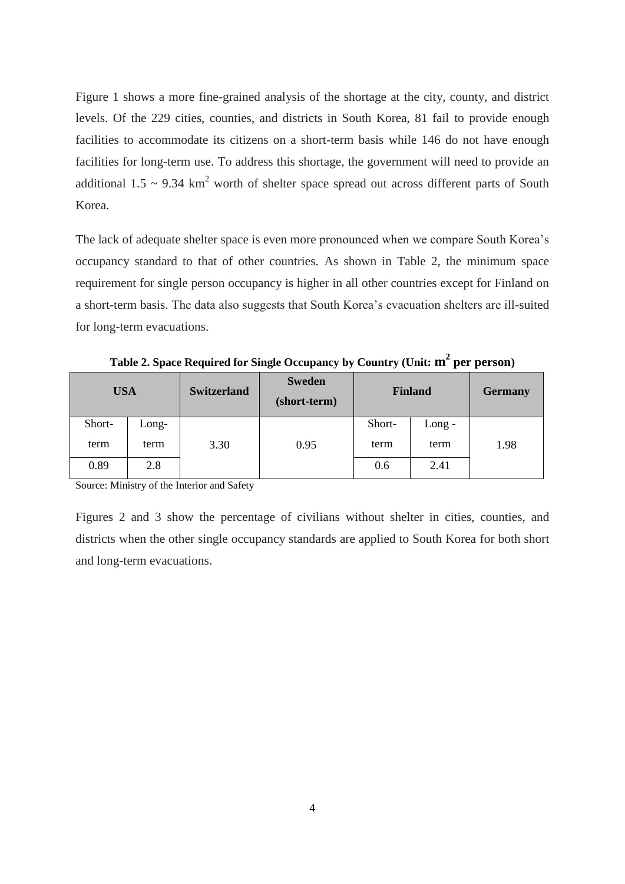Figure 1 shows a more fine-grained analysis of the shortage at the city, county, and district levels. Of the 229 cities, counties, and districts in South Korea, 81 fail to provide enough facilities to accommodate its citizens on a short-term basis while 146 do not have enough facilities for long-term use. To address this shortage, the government will need to provide an additional  $1.5 \sim 9.34 \text{ km}^2$  worth of shelter space spread out across different parts of South Korea.

The lack of adequate shelter space is even more pronounced when we compare South Korea's occupancy standard to that of other countries. As shown in Table 2, the minimum space requirement for single person occupancy is higher in all other countries except for Finland on a short-term basis. The data also suggests that South Korea's evacuation shelters are ill-suited for long-term evacuations.

| <b>USA</b> |         | <b>Switzerland</b> | <b>Sweden</b><br>(short-term) | <b>Finland</b> |          | <b>Germany</b> |
|------------|---------|--------------------|-------------------------------|----------------|----------|----------------|
| Short-     | $Long-$ |                    |                               | Short-         | $Long -$ |                |
| term       | term    | 3.30               | 0.95                          | term           | term     | 1.98           |
| 0.89       | 2.8     |                    |                               | 0.6            | 2.41     |                |

**Table 2. Space Required for Single Occupancy by Country (Unit: m 2 per person)**

Source: Ministry of the Interior and Safety

Figures 2 and 3 show the percentage of civilians without shelter in cities, counties, and districts when the other single occupancy standards are applied to South Korea for both short and long-term evacuations.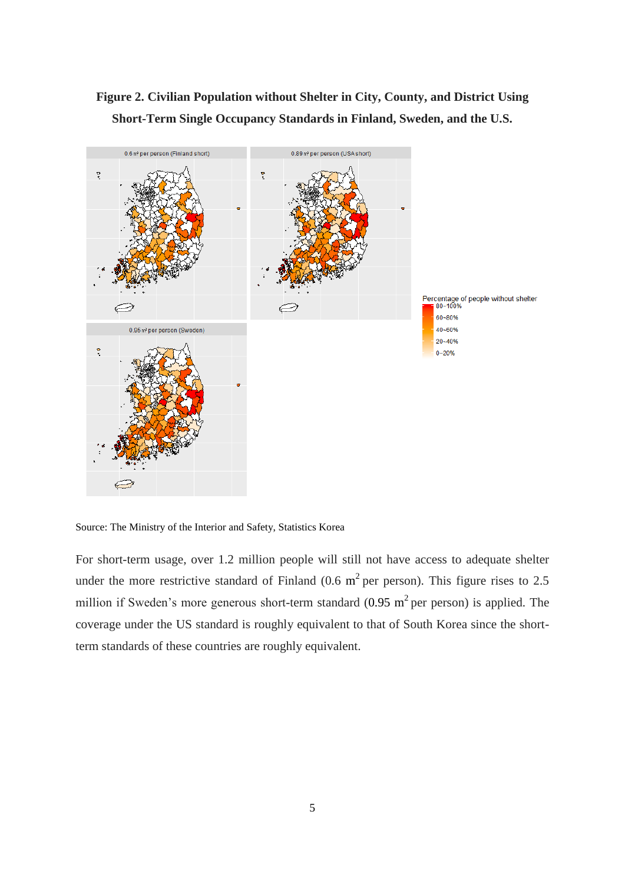**Figure 2. Civilian Population without Shelter in City, County, and District Using Short-Term Single Occupancy Standards in Finland, Sweden, and the U.S.**



Source: The Ministry of the Interior and Safety, Statistics Korea

For short-term usage, over 1.2 million people will still not have access to adequate shelter under the more restrictive standard of Finland (0.6  $m^2$  per person). This figure rises to 2.5 million if Sweden's more generous short-term standard  $(0.95 \text{ m}^2 \text{ per person})$  is applied. The coverage under the US standard is roughly equivalent to that of South Korea since the shortterm standards of these countries are roughly equivalent.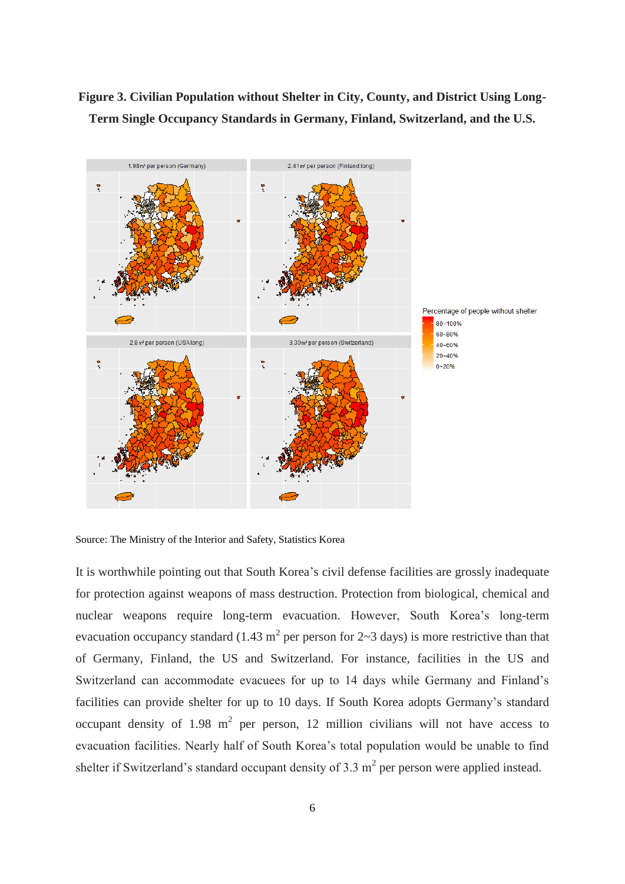# **Figure 3. Civilian Population without Shelter in City, County, and District Using Long-Term Single Occupancy Standards in Germany, Finland, Switzerland, and the U.S.**



Source: The Ministry of the Interior and Safety, Statistics Korea

It is worthwhile pointing out that South Korea's civil defense facilities are grossly inadequate for protection against weapons of mass destruction. Protection from biological, chemical and nuclear weapons require long-term evacuation. However, South Korea's long-term evacuation occupancy standard (1.43 m<sup>2</sup> per person for  $2 \sim 3$  days) is more restrictive than that of Germany, Finland, the US and Switzerland. For instance, facilities in the US and Switzerland can accommodate evacuees for up to 14 days while Germany and Finland's facilities can provide shelter for up to 10 days. If South Korea adopts Germany's standard occupant density of 1.98  $m^2$  per person, 12 million civilians will not have access to evacuation facilities. Nearly half of South Korea's total population would be unable to find shelter if Switzerland's standard occupant density of 3.3  $m<sup>2</sup>$  per person were applied instead.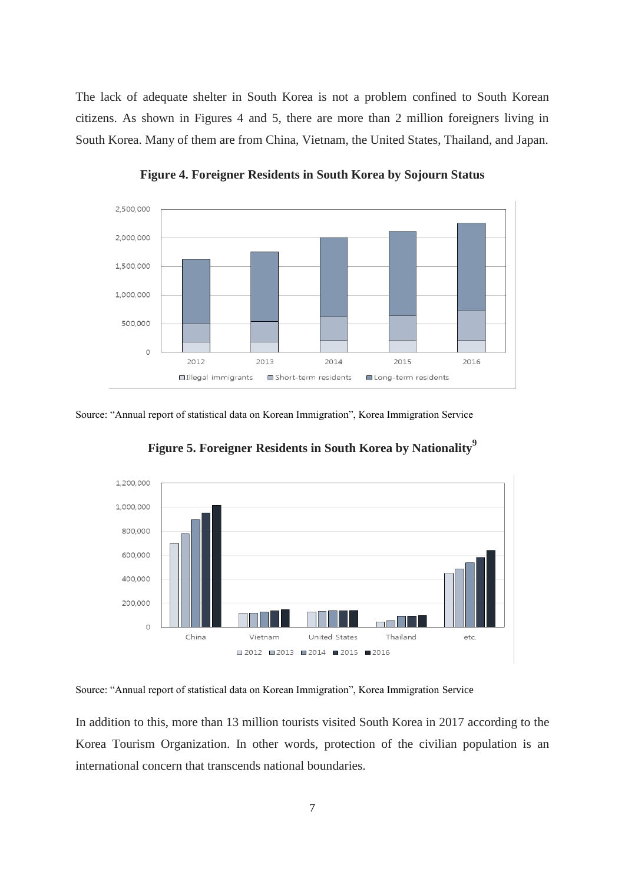The lack of adequate shelter in South Korea is not a problem confined to South Korean citizens. As shown in Figures 4 and 5, there are more than 2 million foreigners living in South Korea. Many of them are from China, Vietnam, the United States, Thailand, and Japan.



**Figure 4. Foreigner Residents in South Korea by Sojourn Status**

#### Source: "Annual report of statistical data on Korean Immigration", Korea Immigration Service



**Figure 5. Foreigner Residents in South Korea by Nationality<sup>9</sup>**

Source: "Annual report of statistical data on Korean Immigration", Korea Immigration Service

In addition to this, more than 13 million tourists visited South Korea in 2017 according to the Korea Tourism Organization. In other words, protection of the civilian population is an international concern that transcends national boundaries.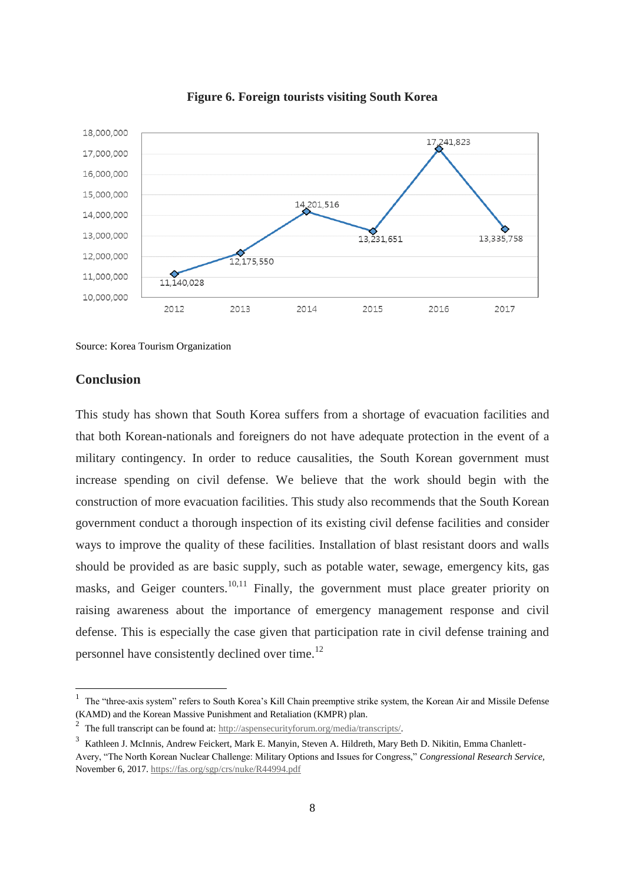

**Figure 6. Foreign tourists visiting South Korea**

Source: Korea Tourism Organization

### **Conclusion**

-

This study has shown that South Korea suffers from a shortage of evacuation facilities and that both Korean-nationals and foreigners do not have adequate protection in the event of a military contingency. In order to reduce causalities, the South Korean government must increase spending on civil defense. We believe that the work should begin with the construction of more evacuation facilities. This study also recommends that the South Korean government conduct a thorough inspection of its existing civil defense facilities and consider ways to improve the quality of these facilities. Installation of blast resistant doors and walls should be provided as are basic supply, such as potable water, sewage, emergency kits, gas masks, and Geiger counters.<sup>10,11</sup> Finally, the government must place greater priority on raising awareness about the importance of emergency management response and civil defense. This is especially the case given that participation rate in civil defense training and personnel have consistently declined over time.<sup>12</sup>

<sup>1</sup> The "three-axis system" refers to South Korea's Kill Chain preemptive strike system, the Korean Air and Missile Defense (KAMD) and the Korean Massive Punishment and Retaliation (KMPR) plan.

<sup>2</sup> The full transcript can be found at: [http://aspensecurityforum.org/media/transcripts/.](http://aspensecurityforum.org/media/transcripts/)

<sup>&</sup>lt;sup>3</sup> Kathleen J. McInnis, Andrew Feickert, Mark E. Manyin, Steven A. Hildreth, Mary Beth D. Nikitin, Emma Chanlett-Avery, "The North Korean Nuclear Challenge: Military Options and Issues for Congress," *Congressional Research Service,*  November 6, 2017[. https://fas.org/sgp/crs/nuke/R44994.pdf](https://fas.org/sgp/crs/nuke/R44994.pdf)